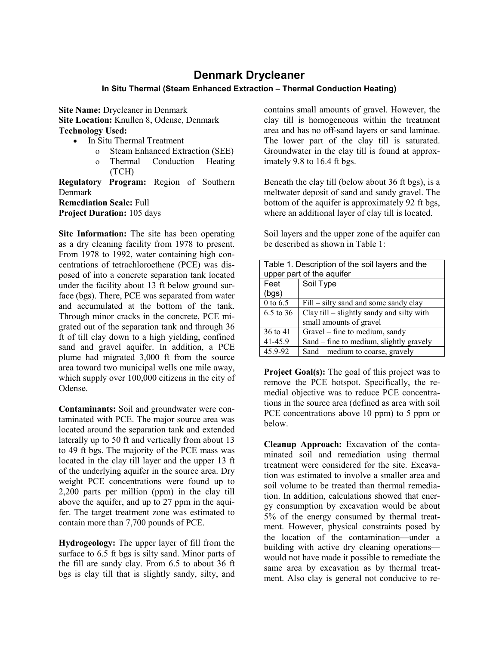## **Denmark Drycleaner**

## **In Situ Thermal (Steam Enhanced Extraction – Thermal Conduction Heating)**

**Site Name:** Drycleaner in Denmark **Site Location:** Knullen 8, Odense, Denmark **Technology Used:**

- In Situ Thermal Treatment
	- ο Steam Enhanced Extraction (SEE)
	- ο Thermal Conduction Heating (TCH)

**Regulatory Program:** Region of Southern Denmark **Remediation Scale:** Full

**Project Duration:** 105 days

**Site Information:** The site has been operating as a dry cleaning facility from 1978 to present. From 1978 to 1992, water containing high concentrations of tetrachloroethene (PCE) was disposed of into a concrete separation tank located under the facility about 13 ft below ground surface (bgs). There, PCE was separated from water and accumulated at the bottom of the tank. Through minor cracks in the concrete, PCE migrated out of the separation tank and through 36 ft of till clay down to a high yielding, confined sand and gravel aquifer. In addition, a PCE plume had migrated 3,000 ft from the source area toward two municipal wells one mile away, which supply over 100,000 citizens in the city of Odense.

**Contaminants:** Soil and groundwater were contaminated with PCE. The major source area was located around the separation tank and extended laterally up to 50 ft and vertically from about 13 to 49 ft bgs. The majority of the PCE mass was located in the clay till layer and the upper 13 ft of the underlying aquifer in the source area. Dry weight PCE concentrations were found up to 2,200 parts per million (ppm) in the clay till above the aquifer, and up to 27 ppm in the aquifer. The target treatment zone was estimated to contain more than 7,700 pounds of PCE.

**Hydrogeology:** The upper layer of fill from the surface to 6.5 ft bgs is silty sand. Minor parts of the fill are sandy clay. From 6.5 to about 36 ft bgs is clay till that is slightly sandy, silty, and

contains small amounts of gravel. However, the clay till is homogeneous within the treatment area and has no off-sand layers or sand laminae. The lower part of the clay till is saturated. Groundwater in the clay till is found at approximately 9.8 to 16.4 ft bgs.

Beneath the clay till (below about 36 ft bgs), is a meltwater deposit of sand and sandy gravel. The bottom of the aquifer is approximately 92 ft bgs, where an additional layer of clay till is located.

Soil layers and the upper zone of the aquifer can be described as shown in Table 1:

| Table 1. Description of the soil layers and the |                                             |
|-------------------------------------------------|---------------------------------------------|
| upper part of the aquifer                       |                                             |
| Feet                                            | Soil Type                                   |
| (bgs)                                           |                                             |
| $0$ to 6.5                                      | Fill – silty sand and some sandy clay       |
| 6.5 to 36                                       | Clay till $-$ slightly sandy and silty with |
|                                                 | small amounts of gravel                     |
| 36 to 41                                        | Gravel – fine to medium, sandy              |
| 41-45.9                                         | Sand – fine to medium, slightly gravely     |
| 45.9-92                                         | Sand – medium to coarse, gravely            |

**Project Goal(s):** The goal of this project was to remove the PCE hotspot. Specifically, the remedial objective was to reduce PCE concentrations in the source area (defined as area with soil PCE concentrations above 10 ppm) to 5 ppm or below.

**Cleanup Approach:** Excavation of the contaminated soil and remediation using thermal treatment were considered for the site. Excavation was estimated to involve a smaller area and soil volume to be treated than thermal remediation. In addition, calculations showed that energy consumption by excavation would be about 5% of the energy consumed by thermal treatment. However, physical constraints posed by the location of the contamination—under a building with active dry cleaning operations would not have made it possible to remediate the same area by excavation as by thermal treatment. Also clay is general not conducive to re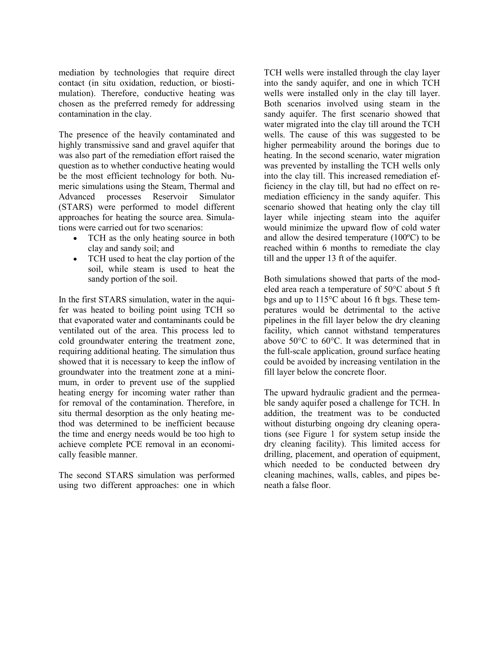mediation by technologies that require direct contact (in situ oxidation, reduction, or biostimulation). Therefore, conductive heating was chosen as the preferred remedy for addressing contamination in the clay.

The presence of the heavily contaminated and highly transmissive sand and gravel aquifer that was also part of the remediation effort raised the question as to whether conductive heating would be the most efficient technology for both. Numeric simulations using the Steam, Thermal and Advanced processes Reservoir Simulator (STARS) were performed to model different approaches for heating the source area. Simulations were carried out for two scenarios:

- TCH as the only heating source in both clay and sandy soil; and
- TCH used to heat the clay portion of the soil, while steam is used to heat the sandy portion of the soil.

In the first STARS simulation, water in the aquifer was heated to boiling point using TCH so that evaporated water and contaminants could be ventilated out of the area. This process led to cold groundwater entering the treatment zone, requiring additional heating. The simulation thus showed that it is necessary to keep the inflow of groundwater into the treatment zone at a minimum, in order to prevent use of the supplied heating energy for incoming water rather than for removal of the contamination. Therefore, in situ thermal desorption as the only heating method was determined to be inefficient because the time and energy needs would be too high to achieve complete PCE removal in an economically feasible manner.

The second STARS simulation was performed using two different approaches: one in which TCH wells were installed through the clay layer into the sandy aquifer, and one in which TCH wells were installed only in the clay till layer. Both scenarios involved using steam in the sandy aquifer. The first scenario showed that water migrated into the clay till around the TCH wells. The cause of this was suggested to be higher permeability around the borings due to heating. In the second scenario, water migration was prevented by installing the TCH wells only into the clay till. This increased remediation efficiency in the clay till, but had no effect on remediation efficiency in the sandy aquifer. This scenario showed that heating only the clay till layer while injecting steam into the aquifer would minimize the upward flow of cold water and allow the desired temperature (100ºC) to be reached within 6 months to remediate the clay till and the upper 13 ft of the aquifer.

Both simulations showed that parts of the modeled area reach a temperature of 50°C about 5 ft bgs and up to 115°C about 16 ft bgs. These temperatures would be detrimental to the active pipelines in the fill layer below the dry cleaning facility, which cannot withstand temperatures above 50°C to 60°C. It was determined that in the full-scale application, ground surface heating could be avoided by increasing ventilation in the fill layer below the concrete floor.

The upward hydraulic gradient and the permeable sandy aquifer posed a challenge for TCH. In addition, the treatment was to be conducted without disturbing ongoing dry cleaning operations (see Figure 1 for system setup inside the dry cleaning facility). This limited access for drilling, placement, and operation of equipment, which needed to be conducted between dry cleaning machines, walls, cables, and pipes beneath a false floor.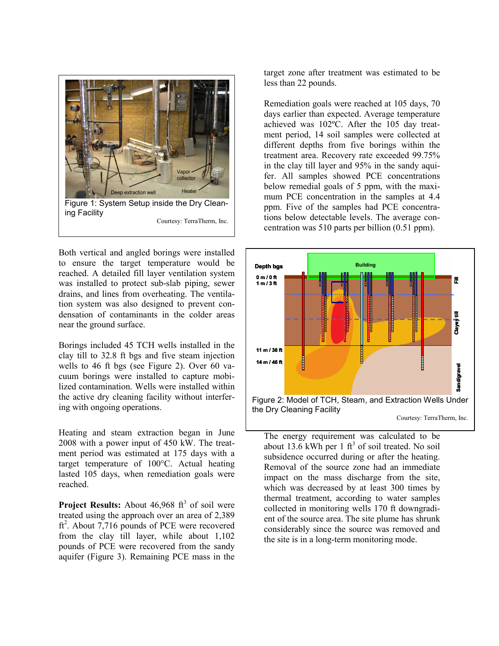

Both vertical and angled borings were installed to ensure the target temperature would be reached. A detailed fill layer ventilation system was installed to protect sub-slab piping, sewer drains, and lines from overheating. The ventilation system was also designed to prevent condensation of contaminants in the colder areas near the ground surface.

Borings included 45 TCH wells installed in the clay till to 32.8 ft bgs and five steam injection wells to 46 ft bgs (see Figure 2). Over 60 vacuum borings were installed to capture mobilized contamination. Wells were installed within the active dry cleaning facility without interfering with ongoing operations.

Heating and steam extraction began in June 2008 with a power input of 450 kW. The treatment period was estimated at 175 days with a target temperature of 100°C. Actual heating lasted 105 days, when remediation goals were reached.

**Project Results:** About  $46.968$   $ft^3$  of soil were treated using the approach over an area of 2,389 ft<sup>2</sup>. About 7,716 pounds of PCE were recovered from the clay till layer, while about 1,102 pounds of PCE were recovered from the sandy aquifer (Figure 3). Remaining PCE mass in the target zone after treatment was estimated to be less than 22 pounds.

Remediation goals were reached at 105 days, 70 days earlier than expected. Average temperature achieved was 102ºC. After the 105 day treatment period, 14 soil samples were collected at different depths from five borings within the treatment area. Recovery rate exceeded 99.75% in the clay till layer and 95% in the sandy aquifer. All samples showed PCE concentrations below remedial goals of 5 ppm, with the maximum PCE concentration in the samples at 4.4 ppm. Five of the samples had PCE concentrations below detectable levels. The average concentration was 510 parts per billion (0.51 ppm).



The energy requirement was calculated to be about 13.6 kWh per 1  $ft<sup>3</sup>$  of soil treated. No soil subsidence occurred during or after the heating. Removal of the source zone had an immediate impact on the mass discharge from the site, which was decreased by at least 300 times by thermal treatment, according to water samples collected in monitoring wells 170 ft downgradient of the source area. The site plume has shrunk considerably since the source was removed and the site is in a long-term monitoring mode.